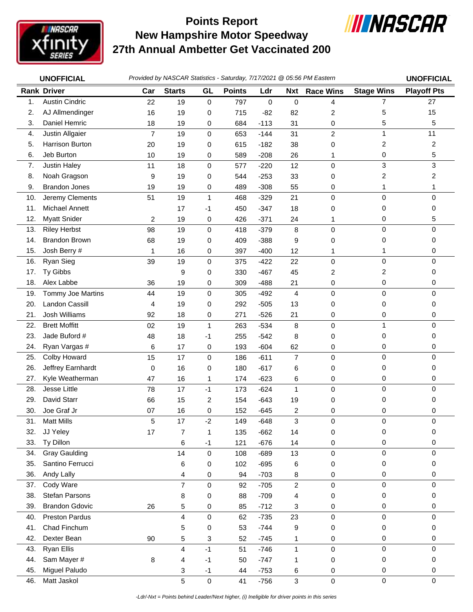

## **New Hampshire Motor Speedway 27th Annual Ambetter Get Vaccinated 200 Points Report**



|     | <b>UNOFFICIAL</b>     |                |                |              |               |        |                | Provided by NASCAR Statistics - Saturday, 7/17/2021 @ 05:56 PM Eastern |                   | <b>UNOFFICIAL</b>  |
|-----|-----------------------|----------------|----------------|--------------|---------------|--------|----------------|------------------------------------------------------------------------|-------------------|--------------------|
|     | <b>Rank Driver</b>    | Car            | <b>Starts</b>  | GL           | <b>Points</b> | Ldr    | <b>Nxt</b>     | <b>Race Wins</b>                                                       | <b>Stage Wins</b> | <b>Playoff Pts</b> |
| 1.  | <b>Austin Cindric</b> | 22             | 19             | 0            | 797           | 0      | 0              | 4                                                                      | $\overline{7}$    | 27                 |
| 2.  | AJ Allmendinger       | 16             | 19             | 0            | 715           | $-82$  | 82             | 2                                                                      | 5                 | 15                 |
| 3.  | Daniel Hemric         | 18             | 19             | 0            | 684           | $-113$ | 31             | 0                                                                      | 5                 | 5                  |
| 4.  | Justin Allgaier       | $\overline{7}$ | 19             | 0            | 653           | $-144$ | 31             | $\overline{c}$                                                         | 1                 | 11                 |
| 5.  | Harrison Burton       | 20             | 19             | 0            | 615           | $-182$ | 38             | 0                                                                      | 2                 | $\overline{c}$     |
| 6.  | Jeb Burton            | 10             | 19             | 0            | 589           | $-208$ | 26             | 1                                                                      | 0                 | 5                  |
| 7.  | Justin Haley          | 11             | 18             | $\mathsf 0$  | 577           | $-220$ | 12             | $\mathsf 0$                                                            | 3                 | 3                  |
| 8.  | Noah Gragson          | 9              | 19             | 0            | 544           | $-253$ | 33             | 0                                                                      | 2                 | 2                  |
| 9.  | <b>Brandon Jones</b>  | 19             | 19             | 0            | 489           | $-308$ | 55             | 0                                                                      | 1                 | 1                  |
| 10. | Jeremy Clements       | 51             | 19             | $\mathbf{1}$ | 468           | $-329$ | 21             | 0                                                                      | $\mathbf 0$       | 0                  |
| 11. | Michael Annett        |                | 17             | $-1$         | 450           | $-347$ | 18             | 0                                                                      | 0                 | 0                  |
| 12. | <b>Myatt Snider</b>   | 2              | 19             | 0            | 426           | $-371$ | 24             | 1                                                                      | 0                 | 5                  |
| 13. | <b>Riley Herbst</b>   | 98             | 19             | 0            | 418           | $-379$ | 8              | $\mathsf 0$                                                            | $\mathbf 0$       | $\Omega$           |
| 14. | <b>Brandon Brown</b>  | 68             | 19             | 0            | 409           | $-388$ | 9              | 0                                                                      | 0                 | 0                  |
| 15. | Josh Berry #          | 1              | 16             | 0            | 397           | $-400$ | 12             | 1                                                                      | 1                 | 0                  |
| 16. | <b>Ryan Sieg</b>      | 39             | 19             | 0            | 375           | $-422$ | 22             | 0                                                                      | $\mathbf 0$       | 0                  |
| 17. | Ty Gibbs              |                | 9              | 0            | 330           | $-467$ | 45             | 2                                                                      | 2                 | 0                  |
| 18. | Alex Labbe            | 36             | 19             | 0            | 309           | $-488$ | 21             | 0                                                                      | 0                 | 0                  |
| 19. | Tommy Joe Martins     | 44             | 19             | 0            | 305           | $-492$ | $\overline{4}$ | 0                                                                      | 0                 | 0                  |
| 20. | Landon Cassill        | 4              | 19             | 0            | 292           | $-505$ | 13             | 0                                                                      | 0                 | 0                  |
| 21. | Josh Williams         | 92             | 18             | 0            | 271           | $-526$ | 21             | 0                                                                      | 0                 | 0                  |
| 22. | <b>Brett Moffitt</b>  | 02             | 19             | $\mathbf{1}$ | 263           | $-534$ | 8              | 0                                                                      | 1                 | 0                  |
| 23. | Jade Buford #         | 48             | 18             | -1           | 255           | $-542$ | 8              | 0                                                                      | 0                 | 0                  |
| 24. | Ryan Vargas #         | 6              | 17             | 0            | 193           | $-604$ | 62             | 0                                                                      | 0                 | 0                  |
| 25. | Colby Howard          | 15             | 17             | 0            | 186           | $-611$ | $\overline{7}$ | 0                                                                      | $\mathbf 0$       | 0                  |
| 26. | Jeffrey Earnhardt     | 0              | 16             | 0            | 180           | $-617$ | 6              | 0                                                                      | 0                 | 0                  |
| 27. | Kyle Weatherman       | 47             | 16             | 1            | 174           | $-623$ | 6              | 0                                                                      | 0                 | 0                  |
| 28. | Jesse Little          | 78             | 17             | $-1$         | 173           | $-624$ | $\mathbf{1}$   | $\mathbf 0$                                                            | $\mathbf 0$       | 0                  |
| 29. | David Starr           | 66             | 15             | 2            | 154           | $-643$ | 19             | 0                                                                      | 0                 | 0                  |
| 30. | Joe Graf Jr           | 07             | 16             | 0            | 152           | $-645$ | 2              | 0                                                                      | 0                 | 0                  |
| 31. | <b>Matt Mills</b>     | 5              | 17             | $-2$         | 149           | $-648$ | 3              | 0                                                                      | 0                 | 0                  |
| 32. | JJ Yeley              | 17             | 7              | 1            | 135           | $-662$ | 14             | 0                                                                      | 0                 | 0                  |
| 33. | Ty Dillon             |                | 6              | $-1$         | 121           | $-676$ | 14             | 0                                                                      | 0                 | 0                  |
| 34. | <b>Gray Gaulding</b>  |                | 14             | 0            | 108           | $-689$ | 13             | 0                                                                      | $\mathbf 0$       | $\mathbf 0$        |
| 35. | Santino Ferrucci      |                | 6              | 0            | 102           | $-695$ | 6              | 0                                                                      | 0                 | 0                  |
| 36. | Andy Lally            |                | 4              | 0            | 94            | $-703$ | 8              | 0                                                                      | 0                 | 0                  |
| 37. | Cody Ware             |                | $\overline{7}$ | 0            | 92            | $-705$ | $\overline{c}$ | 0                                                                      | 0                 | 0                  |
| 38. | Stefan Parsons        |                | 8              | 0            | 88            | $-709$ | 4              | 0                                                                      | 0                 | 0                  |
| 39. | <b>Brandon Gdovic</b> | 26             | 5              | 0            | 85            | $-712$ | 3              | 0                                                                      | 0                 | 0                  |
| 40. | <b>Preston Pardus</b> |                | 4              | 0            | 62            | $-735$ | 23             | 0                                                                      | 0                 | 0                  |
| 41. | Chad Finchum          |                | 5              | 0            | 53            | $-744$ | 9              | 0                                                                      | 0                 | 0                  |
| 42. | Dexter Bean           | 90             | 5              | 3            | 52            | $-745$ | 1              | 0                                                                      | 0                 | 0                  |
| 43. | Ryan Ellis            |                | 4              | $-1$         | 51            | $-746$ | 1              | 0                                                                      | $\mathbf 0$       | 0                  |
| 44. | Sam Mayer #           | 8              | 4              | $-1$         | 50            | $-747$ | 1              | 0                                                                      | 0                 | 0                  |
| 45. | Miguel Paludo         |                | 3              | $-1$         | 44            | $-753$ | 6              | 0                                                                      | 0                 | 0                  |
| 46. | Matt Jaskol           |                | 5              | $\mathsf 0$  | 41            | $-756$ | 3              | 0                                                                      | $\mathbf 0$       | $\mathbf 0$        |